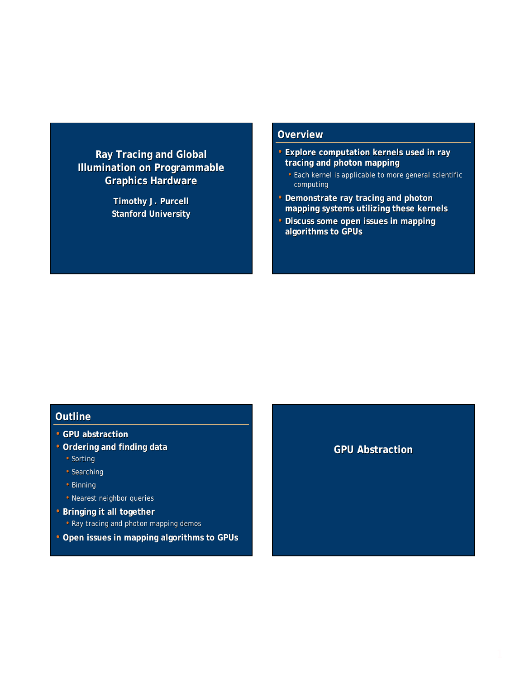## **Ray Tracing and Global Illumination on Programmable Illumination on Programmable Graphics Hardware**

**Timothy J. Purcell Timothy J. Purcell Stanford University**

### **Overview**

- Explore computation kernels used in ray **tracing and photon mapping**
	- Each kernel is applicable to more general scientific computing
- **Demonstrate ray tracing and photon mapping systems utilizing these kernels**
- Discuss some open issues in mapping **algorithms to to GPUs**

### **Outline**

- **GPU abstraction**
- **Ordering and finding data**
	- Sorting
	- Searching
	- Binning
	- Nearest neighbor queries
- **Bringing it all together** 
	- Ray tracing and photon mapping demos
- **Open issues in mapping algorithms to Open issues in mapping algorithms to GPUs**

### **GPU Abstraction**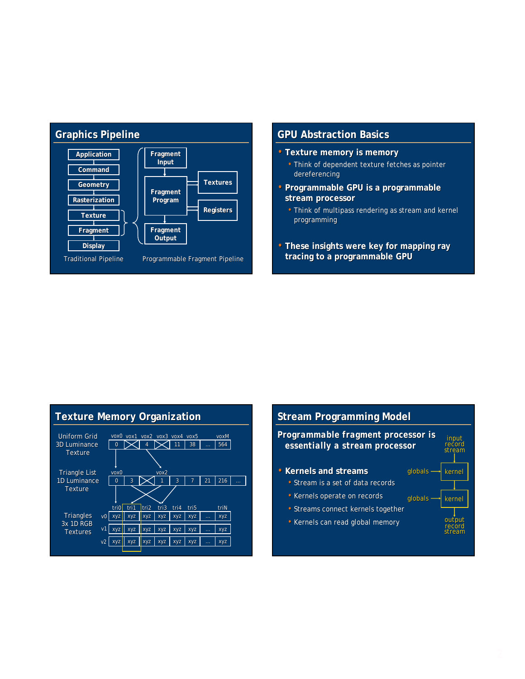

### **GPU Abstraction Basics**

- **Texture memory is memory**
	- Think of dependent texture fetches as pointer dereferencing
- Programmable GPU is a programmable **stream processor stream processor**
	- Think of multipass rendering as stream and kernel programming
- These insights were key for mapping ray **tracing to a programmable GPU**

### **Texture Memory Organization**



### **Stream Programming Model** *Programmable fragment processor is Programmable fragment processor is essentially a stream processor essentially a stream processor* • **Kernels and streams Kernels and streams** • Stream is a set of data records • Kernels operate on records • Streams connect kernels together • Kernels can read global memory kernel input record stream output record stream  $g$ lobals  $\rightarrow$  kernel globals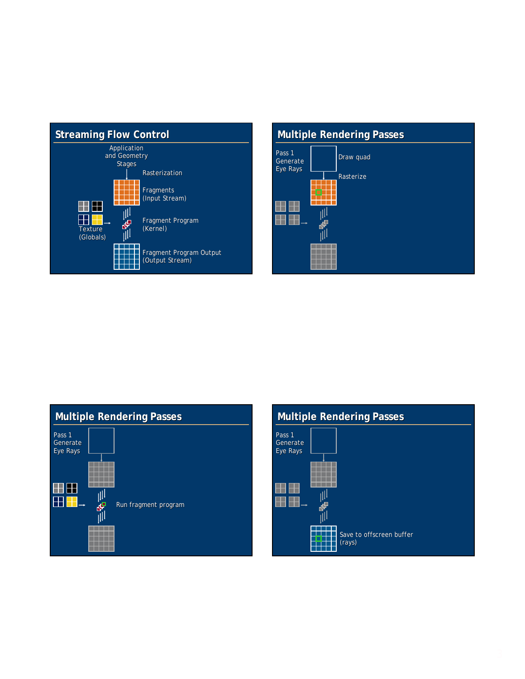

# **Multiple Rendering Passes Multiple Rendering**  Pass 1 Draw quad Generate Eye Rays Rasterize الألل ŌĪ H ηIJ

|                                | <b>Multiple Rendering Passes</b> |
|--------------------------------|----------------------------------|
| Pass 1<br>Generate<br>Eye Rays |                                  |
|                                | Run fragment program<br>¢        |

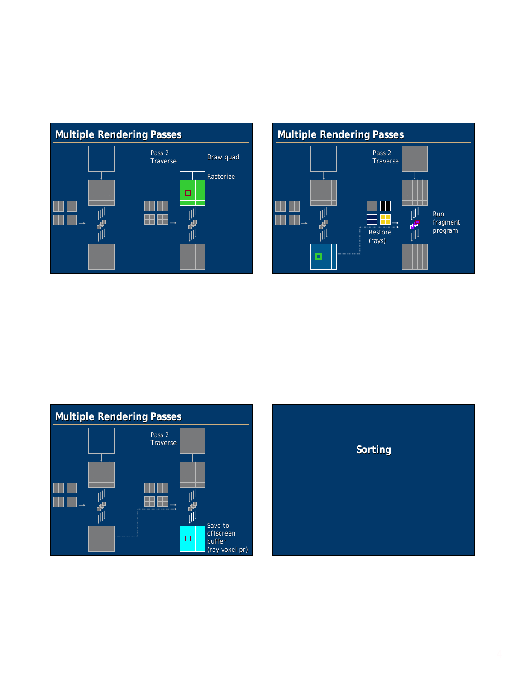



**Multiple Rendering Passes Multiple Rendering Passes** Pass 2 Traverse a da d TTTT  $\Box$ Ŧ 田田 **HAW** H  $\blacksquare$ Н 22 ηW Save to m offscreen ŢЦ Þ buffer ╅┪ (ray voxel pr)

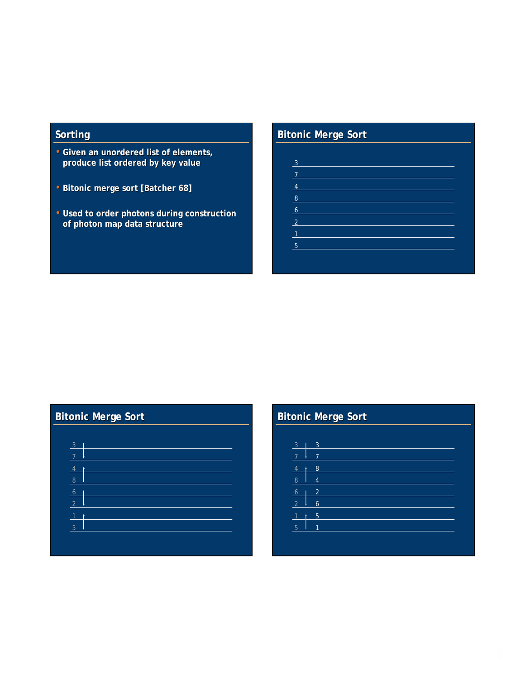# **Sorting Sorting**

- **Given an unordered list of elements, Given an unordered list of elements, produce list ordered by key value**
- **Bitonic merge sort [Batcher 68] sort [Batcher 68]**
- Used to order photons during construction **of photon map data structure**

# **Bitonic Bitonic Merge Sort**

  $\frac{7}{ }$ 

# **Bitonic Bitonic Merge Sort Merge Sort**

| $3 -$          |  |
|----------------|--|
| $\overline{7}$ |  |
| $\frac{4}{ }$  |  |
| 8              |  |
| $\bullet$      |  |
| $\overline{2}$ |  |
| $1$ t          |  |
| 5 <sup>2</sup> |  |
|                |  |

# **Bitonic Bitonic Merge Sort Merge Sort**

| 3 <sub>1</sub>      | 3              |  |  |
|---------------------|----------------|--|--|
| $\overline{7}$<br>۰ | $\overline{7}$ |  |  |
| 4<br>٠              | 8              |  |  |
| $\overline{8}$      | $\overline{4}$ |  |  |
| 6 <sup>1</sup><br>T | $\overline{2}$ |  |  |
| $\overline{2}$<br>۰ | 6              |  |  |
| 1<br>ł              | 5              |  |  |
| $5\phantom{.0}$     | 1              |  |  |
|                     |                |  |  |
|                     |                |  |  |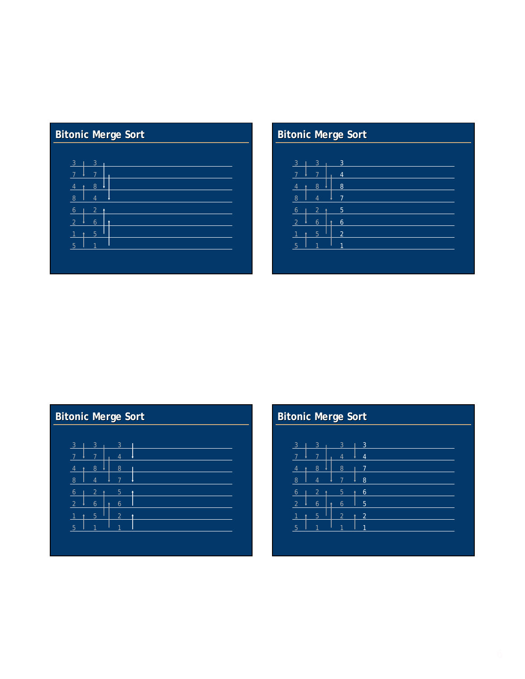# **Bitonic Merge Sort**

| $\mathbf{3}$   | $\mathbf{3}$<br>ı | ı |
|----------------|-------------------|---|
| $\overline{7}$ | $\overline{7}$    |   |
| $\overline{4}$ | 8<br>٠            |   |
| $\overline{8}$ | 4                 |   |
| 6              | $\overline{2}$    | 4 |
| $\overline{2}$ | 6                 |   |
| $\overline{1}$ | 5<br>ł            |   |
| 5              | 1                 |   |

# **Bitonic Bitonic Merge Sort**

| 3 <sup>7</sup><br>T  | 3                        | 3              |  |  |
|----------------------|--------------------------|----------------|--|--|
| $\overline{7}$       | 7                        | $\overline{4}$ |  |  |
| $\overline{4}$<br>t  | 8                        | 8              |  |  |
| $\overline{8}$       | $\overline{4}$           | $\overline{7}$ |  |  |
| 6                    | $\overline{2}$<br>٠      | 5              |  |  |
| 2<br>۰               | $\ddot{\mathbf{6}}$<br>ł | $\overline{6}$ |  |  |
| $\blacklozenge$<br>4 | 5                        | $\overline{2}$ |  |  |
| -5                   | 1                        | 1              |  |  |
|                      |                          |                |  |  |

# **Bitonic Bitonic Merge Sort Merge Sort**

| $3 \mid 3$     |                          | 3              |  |
|----------------|--------------------------|----------------|--|
|                |                          | 4              |  |
| 4              | 8                        | 8              |  |
| $\overline{8}$ | $\boldsymbol{\varDelta}$ | 7              |  |
| 6              | 2                        | 5              |  |
| 2 <sup>2</sup> | 6<br>۴                   | 6              |  |
|                | 5                        | $\overline{2}$ |  |
| 5              |                          |                |  |

# **Bitonic Bitonic Merge Sort Merge Sort**

| 3 <sub>1</sub>      | $\mathbf{3}$   | 3              | $\mathbf{B}$<br>T. |
|---------------------|----------------|----------------|--------------------|
| $\overline{7}$      | 7              | $\overline{4}$ | $\overline{4}$     |
| $\overline{4}$<br>ł | 8              | 8              | 7                  |
| 8                   | $\overline{4}$ | $\overline{7}$ | 8                  |
| 6<br>т              | $\overline{2}$ | 5              | 6<br>ł             |
| $\overline{2}$      | 6<br>٠         | 6              | $5\phantom{1}$     |
| $\mathbf{1}$<br>ł   | 5              | $\overline{2}$ | $\overline{2}$     |
| 5                   | 1              | 1              | 1                  |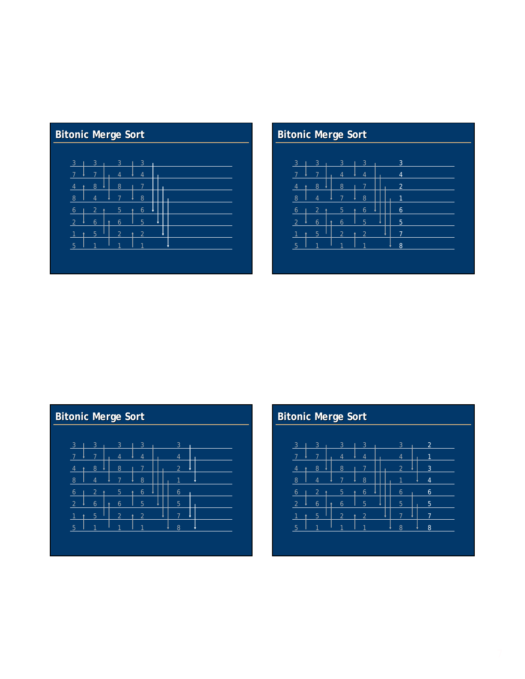# **Bitonic Merge Sort**

| 3 <sup>1</sup><br>$\overline{3}$ | $\mathbf{3}$   | $\overline{3}$ |  |  |  |
|----------------------------------|----------------|----------------|--|--|--|
| $\overline{7}$<br>$\overline{7}$ | $\overline{4}$ | $\overline{4}$ |  |  |  |
| 8<br>4<br>ł                      | 8              | 7              |  |  |  |
| 8<br>$\overline{4}$              | 7              | 8              |  |  |  |
| $\overline{2}$<br>6              | 5              | 6<br>ł         |  |  |  |
| $\overline{2}$<br>6              | 6<br>٠         | 5              |  |  |  |
| 5<br>$\overline{1}$<br>ł         | $\overline{2}$ | $\overline{2}$ |  |  |  |
| 5<br>1                           | 1              | ⊣              |  |  |  |
|                                  |                |                |  |  |  |

# **Bitonic Bitonic Merge Sort**

| $\overline{3}$ | 3              | 3              | 3              | 3                   |
|----------------|----------------|----------------|----------------|---------------------|
| 5              | 7              | $\overline{4}$ | $\overline{4}$ | $\overline{4}$      |
| $\overline{4}$ | 8              | 8              | 7              | $\overline{2}$      |
| 8              | 4              | 7              | 8              | 1                   |
| 6              | $\overline{2}$ | 5              | 6<br>ł         | $\ddot{\mathbf{6}}$ |
| $\overline{2}$ | 6              | 6<br>٠         | 5              | 5                   |
|                | 5              | $\overline{2}$ | $\overline{2}$ | ᄀ                   |
| 5              |                | 1              |                | 8                   |

# **Bitonic Bitonic Merge Sort Merge Sort**

| $\overline{3}$ | 3 | 3              | 3      | 3 |  |
|----------------|---|----------------|--------|---|--|
|                | 7 | 4              | 4      | 4 |  |
| $\overline{4}$ | 8 | 8              |        | 2 |  |
| $\overline{8}$ | 4 | $\overline{7}$ | 8      |   |  |
| $\overline{6}$ | 2 | 5              | 6<br>ł | 6 |  |
|                | 6 | 6              | 5      | 5 |  |
|                | 5 | $\overline{2}$ | 2<br>٠ | 7 |  |
| 5              |   | 1              |        | 8 |  |

### **Bitonic Bitonic Merge Sort Merge Sort**  $\frac{8}{1}$  Ш  $\perp$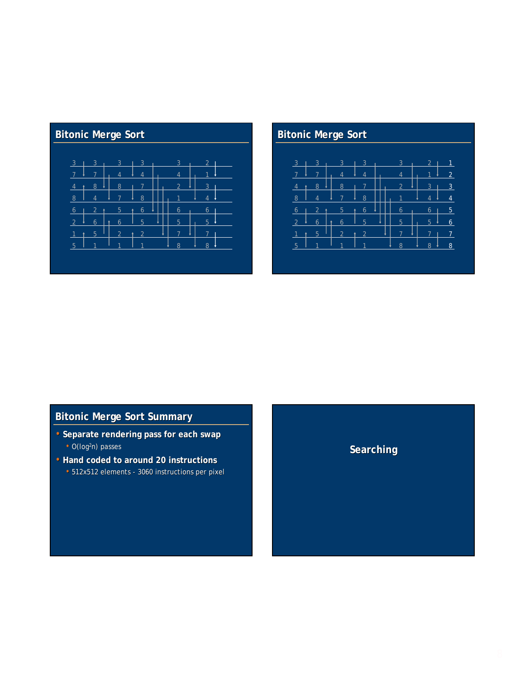# **Bitonic Merge Sort**

| $\overline{3}$ | 3              | 3              | 3      | 3 | $\overline{2}$ |  |
|----------------|----------------|----------------|--------|---|----------------|--|
|                | 7              |                | 4      | 4 |                |  |
| $\overline{4}$ | 8              | 8              |        | 2 | 3              |  |
| 8              | 4              |                | 8      |   |                |  |
| 6              | $\overline{2}$ | 5              | 6<br>٠ | 6 | 6              |  |
| $\overline{2}$ | 6              | 6              | 5      | 5 | 5              |  |
| $\overline{1}$ | 5<br>٠         | $\overline{2}$ |        |   |                |  |
| 5              |                | 1              |        | 8 | 8              |  |
|                |                |                |        |   |                |  |

# **Bitonic Bitonic Merge Sort**



# **Bitonic Bitonic Merge Sort Summary**

- **Separate rendering pass for each swap** • O(log<sup>2</sup>n) passes
- **Hand coded to around 20 instructions Hand coded to around 20 instructions** • 512x512 elements - 3060 instructions per pixel

# **Searching Searching**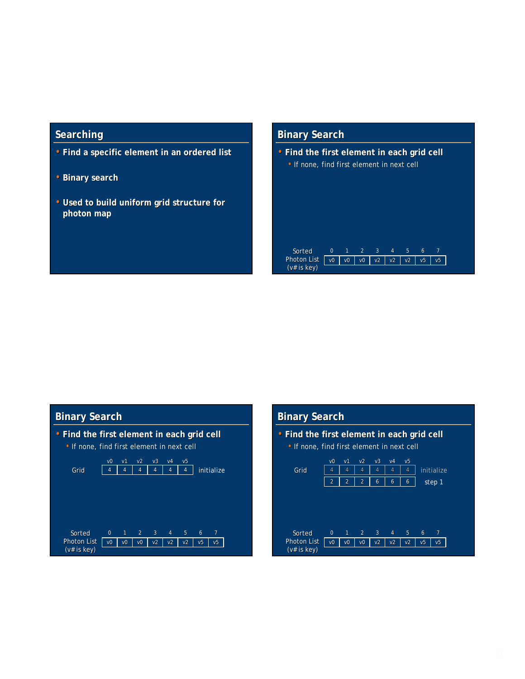### **Searching**

- **Find a specific element in an ordered list Find a specific element in an ordered list**
- **Binary search**
- Used to build uniform grid structure for **photon map**

### **Binary Search**

(v# is key)

• **Find the first element in each grid cell Find the first element in each grid cell** • If none, find first element in next cell

Photon List | vo | vo | vo | v2 | v2 | v5 | v5 | v5 0 1 2 3 4 5 6 Sorted 7

**Binary Search**

Photon List (v# is key)



v0 | v0 | v0 | v2 | v2 | v2 | v5 0 1 2 3 4 5 6

7 Sorted

v5

# **Binary Search**

• **Find the first element in each grid cell Find the first element in each grid cell** • If none, find first element in next cell 4 4 4 4 4 4 v0 v1 v2 v3 v4 v5 4 | 4 | 4 | 4 | initialize v0 | v0 | v0 | v2 | v2 | v2 | v5 0 1 2 3 4 5 6 v5 7 Sorted 2 2 6 6 6 step 1 Grid Photon List (v# is key)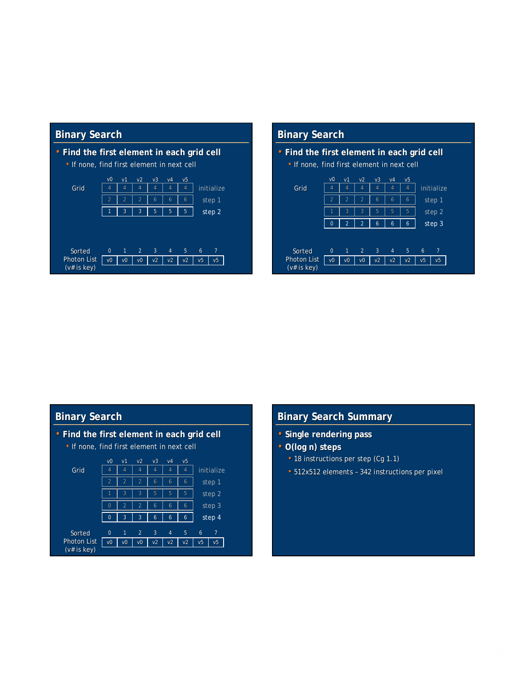### **Binary Search**



### **Binary Search**

• **Find the first element in each grid cell Find the first element in each grid cell** • If none, find first element in next cell v0 v1 v2 v3 v4 v5



### **Binary Search**

• **Find the first element in each grid cell Find the first element in each grid cell** • If none, find first element in next cell



### **Binary Search Summary**

- **Single rendering pass**
- O(log n) steps
	- 18 instructions per step (Cg 1.1)
	- 512x512 elements 342 instructions per pixel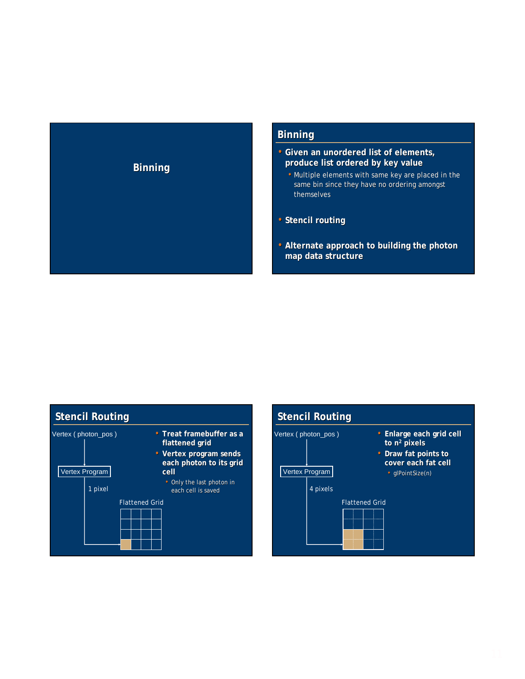# **Binning Binning**

### **Binning**

- **Given an unordered list of elements, Given an unordered list of elements, produce list ordered by key value**
	- Multiple elements with same key are placed in the same bin since they have no ordering amongst themselves
- **Stencil routing**
- Alternate approach to building the photon **map data structure**



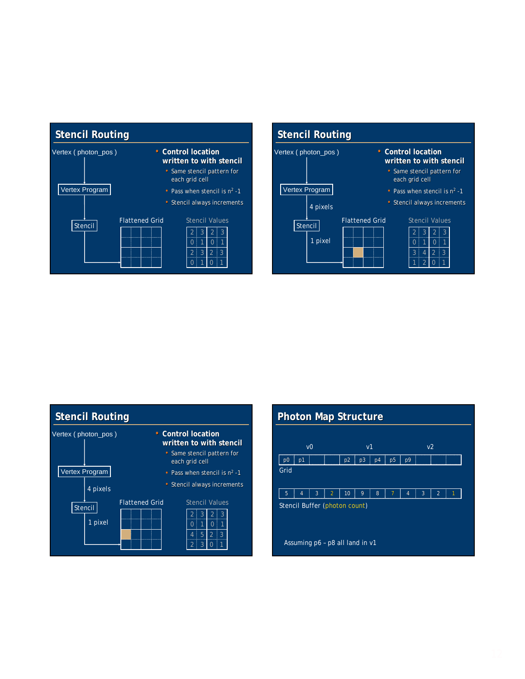





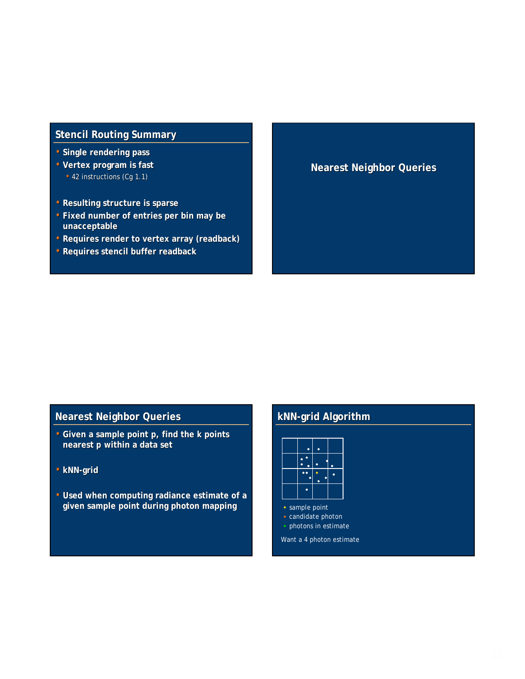### **Stencil Routing Summary**

- **Single rendering pass**
- **Vertex program is fast Vertex program is fast** • 42 instructions (Cg 1.1)
- **Resulting structure is sparse**
- **Fixed number of entries per bin may be Fixed number of entries per bin may be unacceptable**
- **Requires render to vertex array ( Requires render to vertex array (readback)**
- **Requires stencil buffer Requires stencil bufferreadback**

### **Nearest Neighbor Queries Nearest Neighbor**

### **Nearest Neighbor Queries Nearest Neighbor Queries**

- Given a sample point  $p$ , find the *k* points **nearest** *p* **within a data set**
- **kNN-grid**
- Used when computing radiance estimate of a **given sample point during photon mapping**

### **kNN-grid Algorithm**

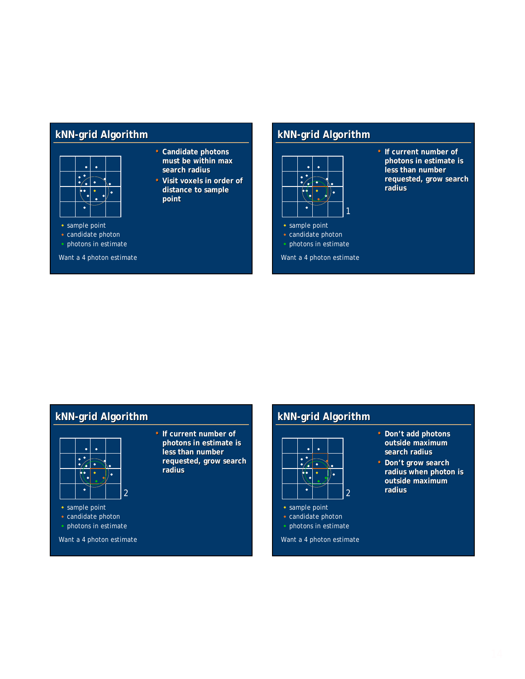### **kNN-grid Algorithm**



• sample point

- candidate photon
- 

- **Candidate photons**  must be within max **search radius**
- **Visit voxels in order of distance to sample to sample point**
- 
- photons in estimate

Want a 4 photon estimate

### **kNN-grid Algorithm**



Want a 4 photon estimate

**photons in estimate is** less than number requested, grow search **radius**

**• If current number of** 

# **kNN-grid Algorithm**



• **If current number of photons in estimate is photons in estimate is**  less than number **requested, grow search requested, grow search radius**



- candidate photon
- photons in estimate

Want a 4 photon estimate

## **kNN-grid Algorithm**



• sample point • photons in estimate • candidate photon

Want a 4 photon estimate

- Don't add photons outside maximum **search radius**
- Don't grow search radius when photon is **outside maximum radius** 2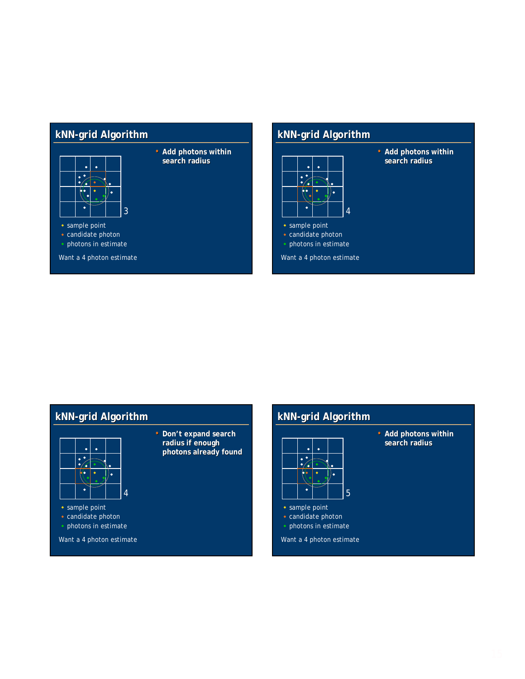# **kNN-grid Algorithm**



• **Add photons within search radius**

• sample point

• candidate photon

• photons in estimate

Want a 4 photon estimate

# **kNN-grid Algorithm**



**• Add photons within search radius**

# **kNN-grid Algorithm**



• **Don't expand search radius if enough radius if enough photons already found**





**• Add photons within search radius**

- sample point
- photons in estimate candidate photon

Want a 4 photon estimate

- 5
- candidate photon
- photons in estimate
- Want a 4 photon estimate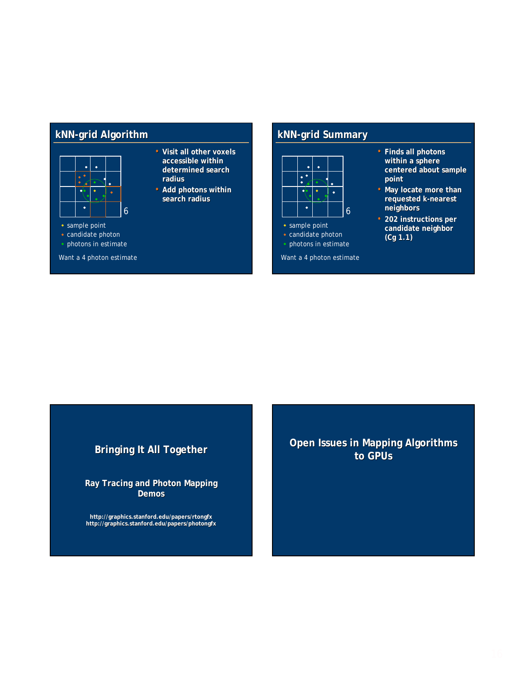### **kNN-grid Algorithm**



### • sample point

- candidate photon
- photons in estimate

Want a 4 photon estimate

- **Visit all other voxels accessible within accessible within**  determined search **radius**
- **Add photons within search radius**

### **kNN-grid Summary**



photons in estimate

Want a 4 photon estimate

- **Finds all photons within a sphere centered about sample centered about sample point**
- May locate more than **requested requested** *k***-nearest nearest neighbors**
- **202 instructions per 202 instructions per candidate neighbor candidate neighbor (Cg 1.1)**

### **Bringing It All Together Bringing It All Together**

**Ray Tracing and Photon Mapping Ray Tracing and Photon Mapping Demos**

**http://graphics.stanford.edu/papers/rtongfx http://graphics.stanford.edu/papers/photongfx** **Open Issues in Mapping Algorithms to GPUs**